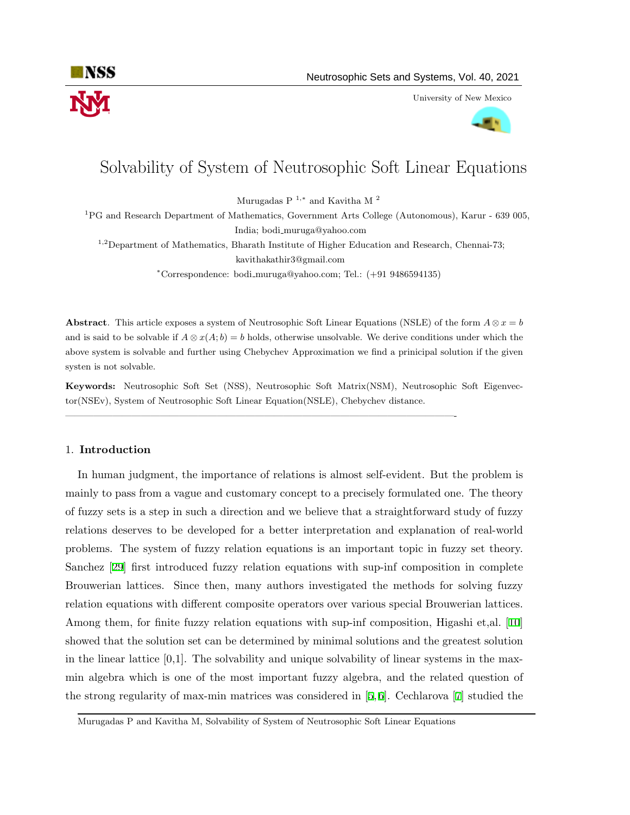

University of New Mexico



# Solvability of System of Neutrosophic Soft Linear Equations

Murugadas P <sup>1</sup>*,<sup>∗</sup>* and Kavitha M <sup>2</sup>

<sup>1</sup>PG and Research Department of Mathematics, Government Arts College (Autonomous), Karur - 639 005, India; bodi muruga@yahoo.com

<sup>1,2</sup>Department of Mathematics, Bharath Institute of Higher Education and Research, Chennai-73; kavithakathir3@gmail.com

*<sup>∗</sup>*Correspondence: bodi muruga@yahoo.com; Tel.: (+91 9486594135)

**Abstract**. This article exposes a system of Neutrosophic Soft Linear Equations (NSLE) of the form  $A \otimes x = b$ and is said to be solvable if  $A \otimes x(A; b) = b$  holds, otherwise unsolvable. We derive conditions under which the above system is solvable and further using Chebychev Approximation we find a prinicipal solution if the given systen is not solvable.

**Keywords:** Neutrosophic Soft Set (NSS), Neutrosophic Soft Matrix(NSM), Neutrosophic Soft Eigenvector(NSEv), System of Neutrosophic Soft Linear Equation(NSLE), Chebychev distance.

 $\mathcal{L}=\{1,2,3,4\}$  , we can consider the constant of the constant of the constant of the constant of the constant of the constant of the constant of the constant of the constant of the constant of the constant of the con

### 1. **Introduction**

In human judgment, the importance of relations is almost self-evident. But the problem is mainly to pass from a vague and customary concept to a precisely formulated one. The theory of fuzzy sets is a step in such a direction and we believe that a straightforward study of fuzzy relations deserves to be developed for a better interpretation and explanation of real-world problems. The system of fuzzy relation equations is an important topic in fuzzy set theory. Sanchez [\[29\]](#page-16-0) first introduced fuzzy relation equations with sup-inf composition in complete Brouwerian lattices. Since then, many authors investigated the methods for solving fuzzy relation equations with different composite operators over various special Brouwerian lattices. Among them, for finite fuzzy relation equations with sup-inf composition, Higashi et,al. [[10\]](#page-15-0) showed that the solution set can be determined by minimal solutions and the greatest solution in the linear lattice  $[0,1]$ . The solvability and unique solvability of linear systems in the maxmin algebra which is one of the most important fuzzy algebra, and the related question of the strong regularity of max-min matrices was considered in [[5](#page-15-1), [6](#page-15-2)]. Cechlarova [[7](#page-15-3)] studied the

Murugadas P and Kavitha M, Solvability of System of Neutrosophic Soft Linear Equations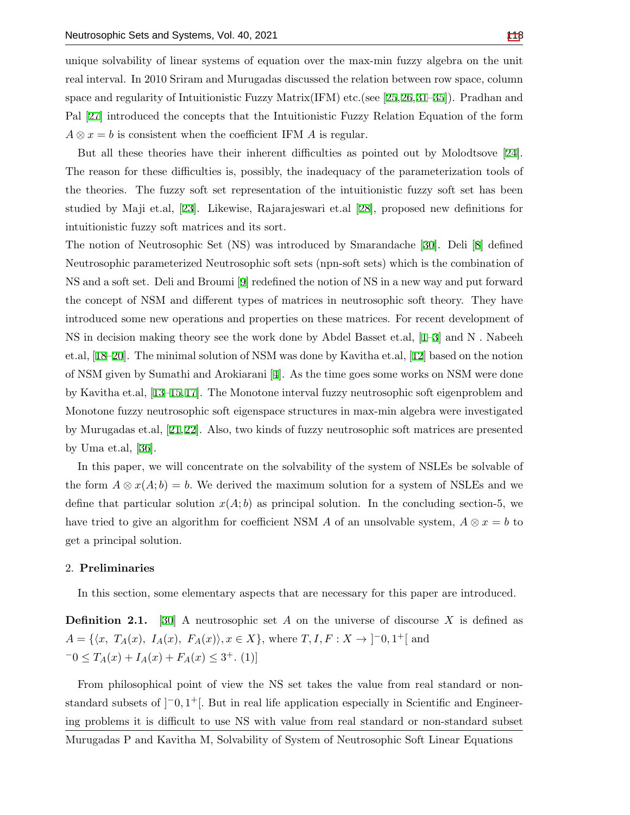unique solvability of linear systems of equation over the max-min fuzzy algebra on the unit real interval. In 2010 Sriram and Murugadas discussed the relation between row space, column space and regularity of Intuitionistic Fuzzy Matrix(IFM) etc.(see [[25](#page-16-2),[26](#page-16-3),[31](#page-16-4)[–35](#page-16-5)]). Pradhan and Pal [\[27](#page-16-6)] introduced the concepts that the Intuitionistic Fuzzy Relation Equation of the form  $A \otimes x = b$  is consistent when the coefficient IFM *A* is regular.

But all these theories have their inherent difficulties as pointed out by Molodtsove [[24](#page-16-7)]. The reason for these difficulties is, possibly, the inadequacy of the parameterization tools of the theories. The fuzzy soft set representation of the intuitionistic fuzzy soft set has been studied by Maji et.al, [\[23](#page-16-8)]. Likewise, Rajarajeswari et.al [[28\]](#page-16-9), proposed new definitions for intuitionistic fuzzy soft matrices and its sort.

The notion of Neutrosophic Set (NS) was introduced by Smarandache [\[30](#page-16-10)]. Deli [[8](#page-15-4)] defined Neutrosophic parameterized Neutrosophic soft sets (npn-soft sets) which is the combination of NS and a soft set. Deli and Broumi [[9](#page-15-5)] redefined the notion of NS in a new way and put forward the concept of NSM and different types of matrices in neutrosophic soft theory. They have introduced some new operations and properties on these matrices. For recent development of NS in decision making theory see the work done by Abdel Basset et.al, [[1](#page-15-6)–[3](#page-15-7)] and N . Nabeeh et.al, [[18–](#page-15-8)[20](#page-15-9)]. The minimal solution of NSM was done by Kavitha et.al, [[12\]](#page-15-10) based on the notion of NSM given by Sumathi and Arokiarani [\[4\]](#page-15-11). As the time goes some works on NSM were done by Kavitha et.al, [[13](#page-15-12)[–15](#page-15-13),[17](#page-15-14)]. The Monotone interval fuzzy neutrosophic soft eigenproblem and Monotone fuzzy neutrosophic soft eigenspace structures in max-min algebra were investigated by Murugadas et.al, [[21,](#page-16-11)[22\]](#page-16-12). Also, two kinds of fuzzy neutrosophic soft matrices are presented by Uma et.al, [\[36](#page-16-13)].

In this paper, we will concentrate on the solvability of the system of NSLEs be solvable of the form  $A \otimes x(A;b) = b$ . We derived the maximum solution for a system of NSLEs and we define that particular solution  $x(A; b)$  as principal solution. In the concluding section-5, we have tried to give an algorithm for coefficient NSM *A* of an unsolvable system,  $A \otimes x = b$  to get a principal solution.

#### 2. **Preliminaries**

In this section, some elementary aspects that are necessary for this paper are introduced.

**Definition 2.1.** [[30](#page-16-10)] A neutrosophic set *A* on the universe of discourse *X* is defined as  $A = \{ \langle x, T_A(x), I_A(x), F_A(x) \rangle, x \in X \},\$ where  $T, I, F: X \to ]-0,1^+[$  and  $-0 \leq T_A(x) + I_A(x) + F_A(x) \leq 3^+$ . (1)]

From philosophical point of view the NS set takes the value from real standard or nonstandard subsets of  $]$ <sup>-</sup>0,1<sup>+</sup>[. But in real life application especially in Scientific and Engineering problems it is difficult to use NS with value from real standard or non-standard subset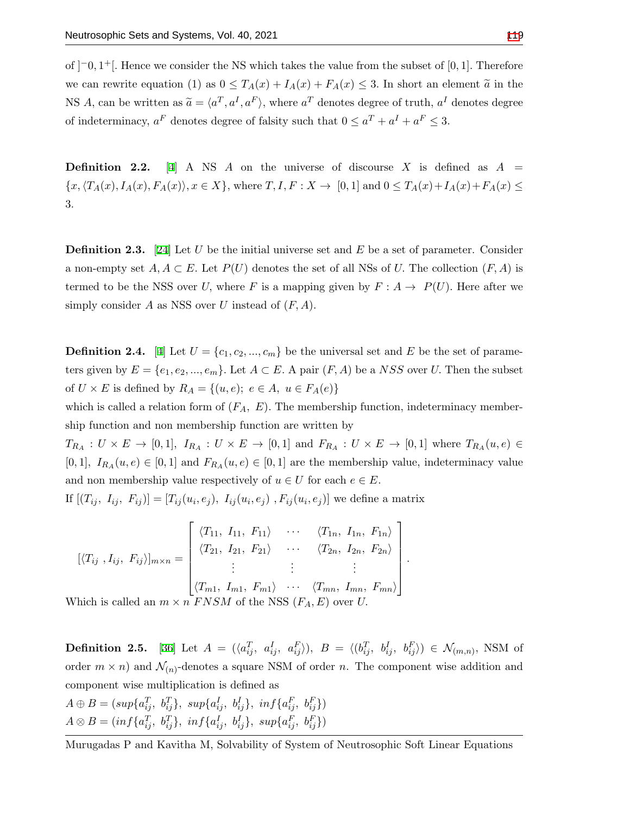of ]*−*0*,* 1 <sup>+</sup>[*.* Hence we consider the NS which takes the value from the subset of [0*,* 1]*.* Therefore we can rewrite equation (1) as  $0 \leq T_A(x) + I_A(x) + F_A(x) \leq 3$ . In short an element  $\tilde{a}$  in the NS *A*, can be written as  $\tilde{a} = \langle a^T, a^I, a^F \rangle$ , where  $a^T$  denotes degree of truth,  $a^I$  denotes degree of indeterminacy,  $a^F$  denotes degree of falsity such that  $0 \le a^T + a^I + a^F \le 3$ .

**Definition 2.2.** [\[4\]](#page-15-11) A NS *A* on the universe of discourse *X* is defined as  $A =$  $\{x, \langle T_A(x), I_A(x), F_A(x) \rangle, x \in X\}$ , where  $T, I, F: X \to [0,1]$  and  $0 \leq T_A(x) + I_A(x) + F_A(x) \leq$ 3*.*

**Definition 2.3.** [[24](#page-16-7)] Let *U* be the initial universe set and *E* be a set of parameter. Consider a non-empty set  $A, A \subset E$ . Let  $P(U)$  denotes the set of all NSs of *U*. The collection  $(F, A)$  is termed to be the NSS over *U*, where *F* is a mapping given by  $F: A \rightarrow P(U)$ . Here after we simply consider *A* as NSS over *U* instead of (*F, A*)*.*

**Definition 2.[4](#page-15-11).** [4] Let  $U = \{c_1, c_2, ..., c_m\}$  be the universal set and *E* be the set of parameters given by  $E = \{e_1, e_2, ..., e_m\}$ . Let  $A \subset E$ . A pair  $(F, A)$  be a *NSS* over *U*. Then the subset of  $U \times E$  is defined by  $R_A = \{(u, e); e \in A, u \in F_A(e)\}\$ 

which is called a relation form of  $(F_A, E)$ . The membership function, indeterminacy membership function and non membership function are written by

 $T_{R_A}: U \times E \to [0,1],$   $I_{R_A}: U \times E \to [0,1]$  and  $F_{R_A}: U \times E \to [0,1]$  where  $T_{R_A}(u,e) \in$ [0, 1],  $I_{R_A}(u, e) \in [0, 1]$  and  $F_{R_A}(u, e) \in [0, 1]$  are the membership value, indeterminacy value and non membership value respectively of  $u \in U$  for each  $e \in E$ .

If  $[(T_{ij}, I_{ij}, F_{ij})] = [T_{ij}(u_i, e_j), I_{ij}(u_i, e_j), F_{ij}(u_i, e_j)]$  we define a matrix

$$
[\langle T_{ij}, I_{ij}, F_{ij} \rangle]_{m \times n} = \begin{bmatrix} \langle T_{11}, I_{11}, F_{11} \rangle & \cdots & \langle T_{1n}, I_{1n}, F_{1n} \rangle \\ \langle T_{21}, I_{21}, F_{21} \rangle & \cdots & \langle T_{2n}, I_{2n}, F_{2n} \rangle \\ \vdots & \vdots & \vdots \\ \langle T_{m1}, I_{m1}, F_{m1} \rangle & \cdots & \langle T_{mn}, I_{mn}, F_{mn} \rangle \end{bmatrix}.
$$
  
which is called an  $m \times n$  *FNSM* of the NSS  $(F_A, E)$  over *U*.

Which is called an  $m \times n$  *FNSM* of the NSS  $(F_A, E)$  over *U*.

**Definition 2.5.** [\[36](#page-16-13)] Let  $A = (\langle a_{ij}^T, a_{ij}^I, a_{ij}^F \rangle)$ ,  $B = \langle (b_{ij}^T, b_{ij}^I, b_{ij}^F \rangle) \in \mathcal{N}_{(m,n)}$ , NSM of order  $m \times n$  and  $\mathcal{N}_{(n)}$ -denotes a square NSM of order *n*. The component wise addition and component wise multiplication is defined as

$$
A \oplus B = (sup\{a_{ij}^T, b_{ij}^T\}, sup\{a_{ij}^I, b_{ij}^I\}, inf\{a_{ij}^F, b_{ij}^F\})
$$
  

$$
A \otimes B = (inf\{a_{ij}^T, b_{ij}^T\}, inf\{a_{ij}^I, b_{ij}^I\}, sup\{a_{ij}^F, b_{ij}^F\})
$$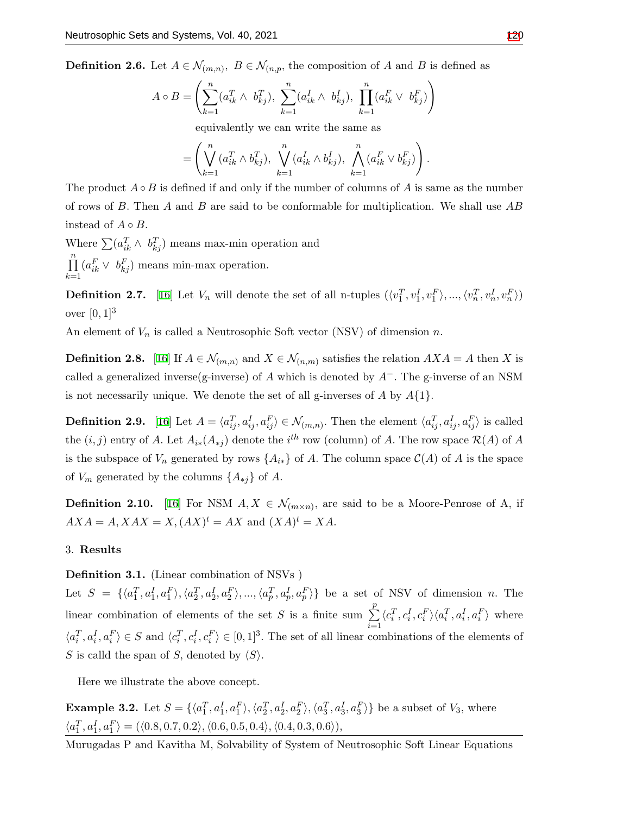**Definition 2.6.** Let  $A \in \mathcal{N}_{(m,n)}$ ,  $B \in \mathcal{N}_{(n,p)}$ , the composition of *A* and *B* is defined as

$$
A \circ B = \left( \sum_{k=1}^{n} (a_{ik}^{T} \wedge b_{kj}^{T}), \sum_{k=1}^{n} (a_{ik}^{I} \wedge b_{kj}^{I}), \prod_{k=1}^{n} (a_{ik}^{F} \vee b_{kj}^{F}) \right)
$$

equivalently we can write the same as

$$
= \left( \bigvee_{k=1}^{n} (a_{ik}^T \wedge b_{kj}^T), \bigvee_{k=1}^{n} (a_{ik}^I \wedge b_{kj}^I), \bigwedge_{k=1}^{n} (a_{ik}^F \vee b_{kj}^F) \right).
$$

The product  $A \circ B$  is defined if and only if the number of columns of A is same as the number of rows of *B.* Then *A* and *B* are said to be conformable for multiplication. We shall use *AB* instead of  $A \circ B$ .

Where  $\sum (a_{ik}^T \wedge b_{kj}^T)$  means max-min operation and ∏*n k*=1  $(a_{ik}^F \vee b_{kj}^F)$  means min-max operation.

**Definition 2.7.** [[16\]](#page-15-15) Let  $V_n$  will denote the set of all n-tuples  $(\langle v_1^T, v_1^I, v_1^F \rangle, ..., \langle v_n^T, v_n^I, v_n^F \rangle)$ over  $[0, 1]^3$ 

An element of *V<sup>n</sup>* is called a Neutrosophic Soft vector (NSV) of dimension *n.*

**Definition 2.8.** [\[16\]](#page-15-15) If  $A \in \mathcal{N}_{(m,n)}$  and  $X \in \mathcal{N}_{(n,m)}$  satisfies the relation  $AXA = A$  then X is called a generalized inverse(g-inverse) of *A* which is denoted by *A−.* The g-inverse of an NSM is not necessarily unique. We denote the set of all g-inverses of *A* by *A{*1*}.*

**Definition 2.9.** [\[16](#page-15-15)] Let  $A = \langle a_{ij}^T, a_{ij}^I, a_{ij}^F \rangle \in \mathcal{N}_{(m,n)}$ . Then the element  $\langle a_{ij}^T, a_{ij}^I, a_{ij}^F \rangle$  is called the  $(i, j)$  entry of *A*. Let  $A_{i*}(A_{*j})$  denote the  $i^{th}$  row (column) of *A*. The row space  $\mathcal{R}(A)$  of *A* is the subspace of  $V_n$  generated by rows  $\{A_{i*}\}\$  of A. The column space  $\mathcal{C}(A)$  of A is the space of  $V_m$  generated by the columns  $\{A_{*j}\}\$  of  $A$ .

<span id="page-3-0"></span>**Definition 2.10.** [\[16](#page-15-15)] For NSM  $A, X \in \mathcal{N}_{(m \times n)}$ , are said to be a Moore-Penrose of A, if  $AXA = A, XAX = X, (AX)^t = AX$  and  $(XA)^t = XA$ .

### 3. **Results**

**Definition 3.1.** (Linear combination of NSVs )

Let  $S = \{\langle a_1^T, a_1^I, a_1^F \rangle, \langle a_2^T, a_2^I, a_2^F \rangle, ..., \langle a_p^T, a_p^I, a_p^F \rangle\}$  be a set of NSV of dimension n. The linear combination of elements of the set *S* is a finite sum  $\sum_{i=1}^{p}$ *i*=1  $\langle c_i^T, c_i^I, c_i^F \rangle \langle a_i^T, a_i^I, a_i^F \rangle$  where  $\langle a_i^T, a_i^I, a_i^F \rangle \in S$  and  $\langle c_i^T, c_i^I, c_i^F \rangle \in [0, 1]^3$ . The set of all linear combinations of the elements of *S* is calld the span of *S*, denoted by  $\langle S \rangle$ *.* 

Here we illustrate the above concept.

**Example 3.2.** Let  $S = \{\langle a_1^T, a_1^I, a_1^F \rangle, \langle a_2^T, a_2^I, a_2^F \rangle, \langle a_3^T, a_3^I, a_3^F \rangle\}$  be a subset of  $V_3$ , where  $\langle a_1^T, a_1^I, a_1^F \rangle = (\langle 0.8, 0.7, 0.2 \rangle, \langle 0.6, 0.5, 0.4 \rangle, \langle 0.4, 0.3, 0.6 \rangle),$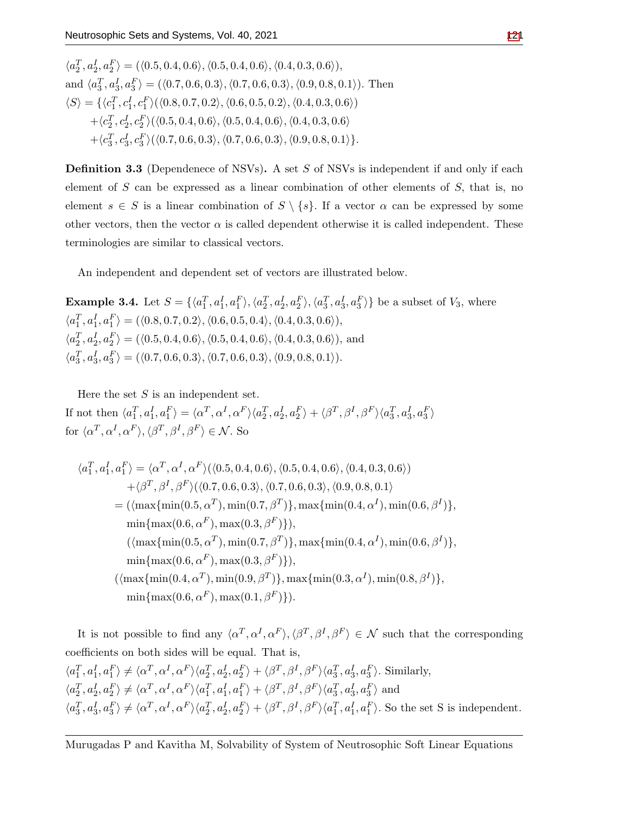$\langle a_2^T, a_2^I, a_2^F \rangle = (\langle 0.5, 0.4, 0.6 \rangle, \langle 0.5, 0.4, 0.6 \rangle, \langle 0.4, 0.3, 0.6 \rangle),$ and  $\langle a_3^T, a_3^I, a_3^F \rangle = (\langle 0.7, 0.6, 0.3 \rangle, \langle 0.7, 0.6, 0.3 \rangle, \langle 0.9, 0.8, 0.1 \rangle).$  Then  $\langle S \rangle = \{ \langle c_1^T, c_1^I, c_1^F \rangle (\langle 0.8, 0.7, 0.2 \rangle, \langle 0.6, 0.5, 0.2 \rangle, \langle 0.4, 0.3, 0.6 \rangle)$  $+\langle c_2^T, c_2^I, c_2^F \rangle (\langle 0.5, 0.4, 0.6 \rangle, \langle 0.5, 0.4, 0.6 \rangle, \langle 0.4, 0.3, 0.6 \rangle$  $+ \langle c_3^T, c_3^I, c_3^F \rangle ( \langle 0.7, 0.6, 0.3 \rangle, \langle 0.7, 0.6, 0.3 \rangle, \langle 0.9, 0.8, 0.1 \rangle \}.$ 

**Definition 3.3** (Dependenece of NSVs)**.** A set *S* of NSVs is independent if and only if each element of *S* can be expressed as a linear combination of other elements of *S,* that is, no element  $s \in S$  is a linear combination of  $S \setminus \{s\}$ . If a vector  $\alpha$  can be expressed by some other vectors, then the vector  $\alpha$  is called dependent otherwise it is called independent. These terminologies are similar to classical vectors.

An independent and dependent set of vectors are illustrated below.

**Example 3.4.** Let  $S = \{\langle a_1^T, a_1^I, a_1^F \rangle, \langle a_2^T, a_2^I, a_2^F \rangle, \langle a_3^T, a_3^I, a_3^F \rangle\}$  be a subset of  $V_3$ , where  $\langle a_1^T, a_1^I, a_1^F \rangle = (\langle 0.8, 0.7, 0.2 \rangle, \langle 0.6, 0.5, 0.4 \rangle, \langle 0.4, 0.3, 0.6 \rangle),$  $\langle a_2^T, a_2^I, a_2^F \rangle = (\langle 0.5, 0.4, 0.6 \rangle, \langle 0.5, 0.4, 0.6 \rangle, \langle 0.4, 0.3, 0.6 \rangle), \text{ and}$  $\langle a_3^T, a_3^I, a_3^F \rangle = (\langle 0.7, 0.6, 0.3 \rangle, \langle 0.7, 0.6, 0.3 \rangle, \langle 0.9, 0.8, 0.1 \rangle).$ 

Here the set *S* is an independent set. If not then  $\langle a_1^T, a_1^I, a_1^F \rangle = \langle \alpha^T, \alpha^I, \alpha^F \rangle \langle a_2^T, a_2^I, a_2^F \rangle + \langle \beta^T, \beta^I, \beta^F \rangle \langle a_3^T, a_3^I, a_3^F \rangle$  $\langle \alpha^T, \alpha^I, \alpha^F \rangle, \langle \beta^T, \beta^I, \beta^F \rangle \in \mathcal{N}$ . So

$$
\langle a_1^T, a_1^I, a_1^F \rangle = \langle \alpha^T, \alpha^I, \alpha^F \rangle (\langle 0.5, 0.4, 0.6 \rangle, \langle 0.5, 0.4, 0.6 \rangle, \langle 0.4, 0.3, 0.6 \rangle)
$$
  
+
$$
\langle \beta^T, \beta^I, \beta^F \rangle (\langle 0.7, 0.6, 0.3 \rangle, \langle 0.7, 0.6, 0.3 \rangle, \langle 0.9, 0.8, 0.1 \rangle
$$
  
= 
$$
(\langle \max \{ \min(0.5, \alpha^T), \min(0.7, \beta^T) \}, \max \{ \min(0.4, \alpha^I), \min(0.6, \beta^I) \}, \min \{ \max(0.6, \alpha^F), \max(0.3, \beta^F) \} \rangle,
$$
  

$$
(\langle \max \{ \min(0.5, \alpha^T), \min(0.7, \beta^T) \}, \max \{ \min(0.4, \alpha^I), \min(0.6, \beta^I) \}, \min \{ \max(0.6, \alpha^F), \max(0.3, \beta^F) \} \rangle,
$$
  

$$
(\langle \max \{ \min(0.4, \alpha^T), \min(0.9, \beta^T) \}, \max \{ \min(0.3, \alpha^I), \min(0.8, \beta^I) \} \rangle,
$$
  

$$
\min \{ \max(0.6, \alpha^F), \max(0.1, \beta^F) \} ).
$$

It is not possible to find any  $\langle \alpha^T, \alpha^I, \alpha^F \rangle$ ,  $\langle \beta^T, \beta^I, \beta^F \rangle \in \mathcal{N}$  such that the corresponding coefficients on both sides will be equal. That is,  $\langle a_1^T, a_1^I, a_1^F \rangle \neq \langle \alpha^T, \alpha^I, \alpha^F \rangle \langle a_2^T, a_2^I, a_2^F \rangle + \langle \beta^T, \beta^I, \beta^F \rangle \langle a_3^T, a_3^I, a_3^F \rangle$ . Similarly,  $\langle a_2^T, a_2^I, a_2^F \rangle \neq \langle \alpha^T, \alpha^I, \alpha^F \rangle \langle a_1^T, a_1^I, a_1^F \rangle + \langle \beta^T, \beta^I, \beta^F \rangle \langle a_3^T, a_3^I, a_3^F \rangle$  and  $\langle a_3^T, a_3^I, a_3^F \rangle \neq \langle \alpha^T, \alpha^I, \alpha^F \rangle \langle a_2^T, a_2^I, a_2^F \rangle + \langle \beta^T, \beta^I, \beta^F \rangle \langle a_1^T, a_1^I, a_1^F \rangle$ . So the set S is independent.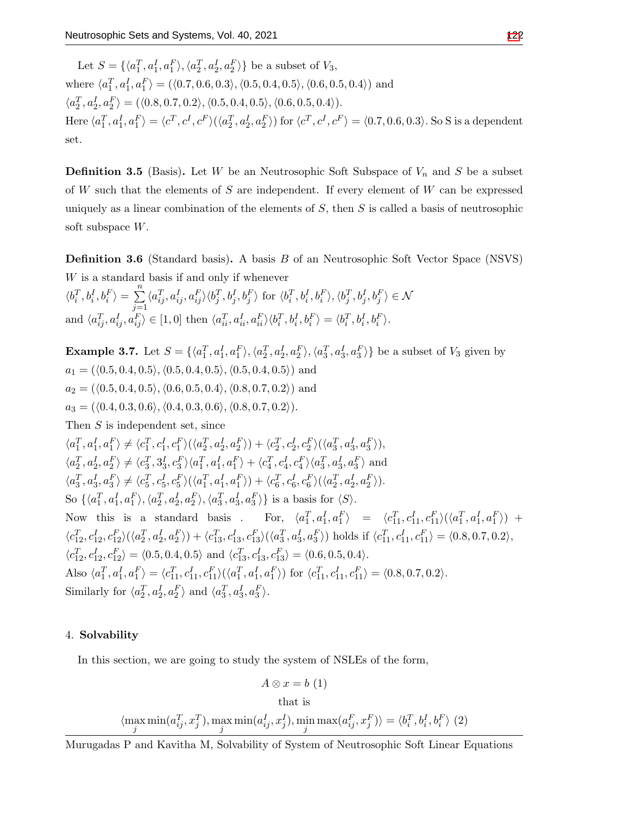Let  $S = \{\langle a_1^T, a_1^I, a_1^F \rangle, \langle a_2^T, a_2^I, a_2^F \rangle\}$  be a subset of  $V_3$ , where  $\langle a_1^T, a_1^I, a_1^F \rangle = (\langle 0.7, 0.6, 0.3 \rangle, \langle 0.5, 0.4, 0.5 \rangle, \langle 0.6, 0.5, 0.4 \rangle)$  and  $\langle a_2^T, a_2^I, a_2^F \rangle = (\langle 0.8, 0.7, 0.2 \rangle, \langle 0.5, 0.4, 0.5 \rangle, \langle 0.6, 0.5, 0.4 \rangle).$ Here  $\langle a_1^T, a_1^I, a_1^F \rangle = \langle c^T, c^I, c^F \rangle (\langle a_2^T, a_2^I, a_2^F \rangle)$  for  $\langle c^T, c^I, c^F \rangle = \langle 0.7, 0.6, 0.3 \rangle$ . So S is a dependent set.

**Definition 3.5** (Basis). Let *W* be an Neutrosophic Soft Subspace of  $V_n$  and *S* be a subset of *W* such that the elements of *S* are independent. If every element of *W* can be expressed uniquely as a linear combination of the elements of *S*, then *S* is called a basis of neutrosophic soft subspace *W*.

**Definition 3.6** (Standard basis)**.** A basis *B* of an Neutrosophic Soft Vector Space (NSVS) *W* is a standard basis if and only if whenever  $\langle b_i^T, b_i^I, b_i^F \rangle = \sum^n$ *j*=1  $\langle a_{ij}^T, a_{ij}^I, a_{ij}^F \rangle \langle b_j^T, b_j^I, b_j^F \rangle$  for  $\langle b_i^T, b_i^I, b_i^F \rangle, \langle b_j^T, b_j^I, b_j^F \rangle \in \mathcal{N}$ and  $\langle a_{ij}^T, a_{ij}^I, a_{ij}^F \rangle \in [1,0]$  then  $\langle a_{ii}^T, a_{ii}^I, a_{ii}^F \rangle \langle b_i^T, b_i^I, b_i^F \rangle = \langle b_i^T, b_i^I, b_i^F \rangle$ .

**Example 3.7.** Let  $S = \{\langle a_1^T, a_1^I, a_1^F \rangle, \langle a_2^T, a_2^I, a_2^F \rangle, \langle a_3^T, a_3^I, a_3^F \rangle\}$  be a subset of  $V_3$  given by  $a_1 = (\langle 0.5, 0.4, 0.5 \rangle, \langle 0.5, 0.4, 0.5 \rangle, \langle 0.5, 0.4, 0.5 \rangle)$  and  $a_2 = (\langle 0.5, 0.4, 0.5 \rangle, \langle 0.6, 0.5, 0.4 \rangle, \langle 0.8, 0.7, 0.2 \rangle)$  and  $a_3 = (\langle 0.4, 0.3, 0.6 \rangle, \langle 0.4, 0.3, 0.6 \rangle, \langle 0.8, 0.7, 0.2 \rangle).$ Then *S* is independent set, since  $\langle a_1^T, a_1^I, a_1^F \rangle \neq \langle c_1^T, c_1^I, c_1^F \rangle (\langle a_2^T, a_2^I, a_2^F \rangle) + \langle c_2^T, c_2^I, c_2^F \rangle (\langle a_3^T, a_3^I, a_3^F \rangle),$  $\langle a_2^T, a_2^I, a_2^F \rangle \neq \langle c_3^T, 3_3^I, c_3^F \rangle \langle a_1^T, a_1^I, a_1^F \rangle + \langle c_4^T, c_4^I, c_4^F \rangle \langle a_3^T, a_3^I, a_3^F \rangle$  and  $\langle a_3^T, a_3^I, a_3^F \rangle \neq \langle c_5^T, c_5^I, c_5^F \rangle (\langle a_1^T, a_1^I, a_1^F \rangle) + \langle c_6^T, c_6^I, c_6^F \rangle (\langle a_2^T, a_2^I, a_2^F \rangle).$ So  $\{\langle a_1^T, a_1^I, a_1^F \rangle, \langle a_2^T, a_2^I, a_2^F \rangle, \langle a_3^T, a_3^I, a_3^F \rangle\}$  is a basis for  $\langle S \rangle$ . Now this is a standard basis. For,  $\langle a_1^T, a_1^I, a_1^F \rangle = \langle c_{11}^T, c_{11}^I, c_{11}^F \rangle (\langle a_1^T, a_1^I, a_1^F \rangle)$  +  $\langle c_{12}^T, c_{12}^I, c_{12}^F \rangle (\langle a_2^T, a_2^I, a_2^F \rangle) + \langle c_{13}^T, c_{13}^I, c_{13}^F \rangle (\langle a_3^T, a_3^I, a_3^F \rangle)$  holds if  $\langle c_{11}^T, c_{11}^I, c_{11}^F \rangle = \langle 0.8, 0.7, 0.2 \rangle$ ,  $\langle c_{12}^T, c_{12}^I, c_{12}^F \rangle = \langle 0.5, 0.4, 0.5 \rangle$  and  $\langle c_{13}^T, c_{13}^I, c_{13}^F \rangle = \langle 0.6, 0.5, 0.4 \rangle$ . Also  $\langle a_1^T, a_1^I, a_1^F \rangle = \langle c_{11}^T, c_{11}^I, c_{11}^F \rangle (\langle a_1^T, a_1^I, a_1^F \rangle)$  for  $\langle c_{11}^T, c_{11}^I, c_{11}^F \rangle = \langle 0.8, 0.7, 0.2 \rangle$ . Similarly for  $\langle a_2^T, a_2^I, a_2^F \rangle$  and  $\langle a_3^T, a_3^I, a_3^F \rangle$ .

#### 4. **Solvability**

In this section, we are going to study the system of NSLEs of the form,

$$
A\otimes x=b\ (1)
$$

that is  
\n
$$
\langle \max_j \min(a_{ij}^T, x_j^T), \max_j \min(a_{ij}^I, x_j^I), \min_j \max(a_{ij}^F, x_j^F) \rangle = \langle b_i^T, b_i^I, b_i^F \rangle
$$
 (2)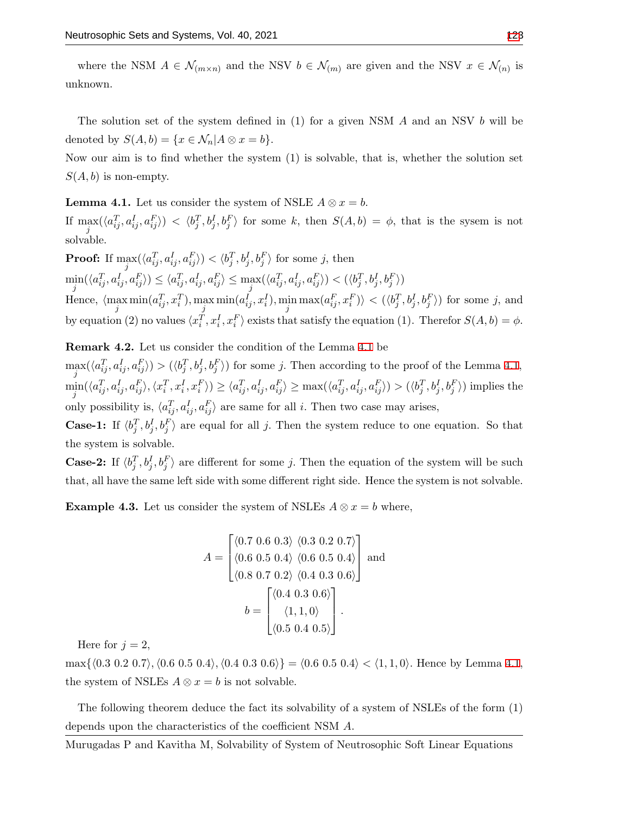where the NSM  $A \in \mathcal{N}_{(m \times n)}$  and the NSV  $b \in \mathcal{N}_{(m)}$  are given and the NSV  $x \in \mathcal{N}_{(n)}$  is unknown.

The solution set of the system defined in (1) for a given NSM *A* and an NSV *b* will be denoted by  $S(A, b) = \{x \in \mathcal{N}_n | A \otimes x = b\}.$ 

Now our aim is to find whether the system (1) is solvable, that is, whether the solution set  $S(A, b)$  is non-empty.

<span id="page-6-0"></span>**Lemma 4.1.** Let us consider the system of NSLE  $A \otimes x = b$ .

If  $\max_j(\langle a_{ij}^T, a_{ij}^I, a_{ij}^F \rangle) < \langle b_j^T, b_j^I, b_j^F \rangle$  for some k, then  $S(A, b) = \phi$ , that is the sysem is not solvable.

**Proof:** If  $\max_i(\langle a_{ij}^T, a_{ij}^I, a_{ij}^F \rangle) < \langle b_j^T, b_j^I, b_j^F \rangle$  for some j, then *j*  $\min_j(\langle a_{ij}^T,a_{ij}^I,a_{ij}^F\rangle)\leq\langle a_{ij}^T,a_{ij}^I,a_{ij}^F\rangle\leq \max_j(\langle a_{ij}^T,a_{ij}^I,a_{ij}^F\rangle)<(\langle b_j^T,b_j^I,b_j^F\rangle)$ Hence,  $\langle \max_j \min(a_{ij}^T, x_i^T), \max_j \min(a_{ij}^I, x_i^I), \min_j \max(a_{ij}^F, x_i^F) \rangle < (\langle b_j^T, b_j^I, b_j^F \rangle)$  for some j, and by equation (2) no values  $\langle x_i^T, x_i^I, x_i^F \rangle$  exists that satisfy the equation (1). Therefor  $S(A, b) = \phi$ .

**Remark 4.2.** Let us consider the condition of the Lemma [4.1](#page-6-0) be

 $\max_j(\langle a_{ij}^T, a_{ij}^I, a_{ij}^F \rangle) > (\langle b_j^T, b_j^I, b_j^F \rangle)$  for some j. Then according to the proof of the Lemma [4.1](#page-6-0),  $\min_j(\langle a_{ij}^T, a_{ij}^I, a_{ij}^F \rangle, \langle x_i^T, x_i^I, x_i^F \rangle) \ge \langle a_{ij}^T, a_{ij}^I, a_{ij}^F \rangle \ge \max(\langle a_{ij}^T, a_{ij}^I, a_{ij}^F \rangle) > (\langle b_j^T, b_j^I, b_j^F \rangle)$  implies the only possibility is,  $\langle a_{ij}^T, a_{ij}^I, a_{ij}^F \rangle$  are same for all *i*. Then two case may arises,

**Case-1:** If  $\langle b_j^T, b_j^I, b_j^F \rangle$  are equal for all *j*. Then the system reduce to one equation. So that the system is solvable.

**Case-2:** If  $\langle b_j^T, b_j^I, b_j^F \rangle$  are different for some *j*. Then the equation of the system will be such that, all have the same left side with some different right side. Hence the system is not solvable.

**Example 4.3.** Let us consider the system of NSLEs  $A \otimes x = b$  where,

$$
A = \begin{bmatrix} \langle 0.7 \ 0.6 \ 0.3 \rangle \ \langle 0.3 \ 0.2 \ 0.7 \rangle \\ \langle 0.6 \ 0.5 \ 0.4 \rangle \ \langle 0.6 \ 0.5 \ 0.4 \rangle \\ \langle 0.8 \ 0.7 \ 0.2 \rangle \ \langle 0.4 \ 0.3 \ 0.6 \rangle \end{bmatrix}
$$
and
$$
b = \begin{bmatrix} \langle 0.4 \ 0.3 \ 0.6 \rangle \\ \langle 1, 1, 0 \rangle \\ \langle 0.5 \ 0.4 \ 0.5 \rangle \end{bmatrix}.
$$

Here for  $j = 2$ ,

 $\max\{\langle 0.3 \ 0.2 \ 0.7 \rangle, \langle 0.6 \ 0.5 \ 0.4 \rangle, \langle 0.4 \ 0.3 \ 0.6 \rangle\} = \langle 0.6 \ 0.5 \ 0.4 \rangle < \langle 1, 1, 0 \rangle.$  Hence by Lemma [4.1,](#page-6-0) the system of NSLEs  $A \otimes x = b$  is not solvable.

The following theorem deduce the fact its solvability of a system of NSLEs of the form (1) depends upon the characteristics of the coefficient NSM *A.*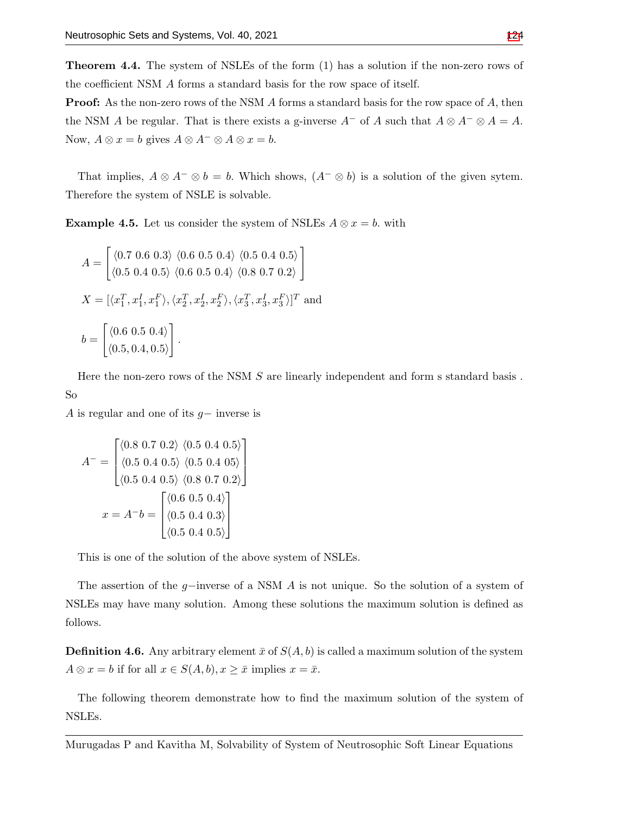**Theorem 4.4.** The system of NSLEs of the form (1) has a solution if the non-zero rows of the coefficient NSM *A* forms a standard basis for the row space of itself.

**Proof:** As the non-zero rows of the NSM *A* forms a standard basis for the row space of *A,* then the NSM *A* be regular. That is there exists a g-inverse  $A^-$  of *A* such that  $A \otimes A^- \otimes A = A$ . Now,  $A \otimes x = b$  gives  $A \otimes A^- \otimes A \otimes x = b$ .

That implies,  $A \otimes A^- \otimes b = b$ . Which shows,  $(A^- \otimes b)$  is a solution of the given sytem. Therefore the system of NSLE is solvable.

**Example 4.5.** Let us consider the system of NSLEs  $A \otimes x = b$ , with

$$
A = \begin{bmatrix} \langle 0.7 \ 0.6 \ 0.3 \rangle \ \langle 0.6 \ 0.5 \ 0.4 \rangle \ \langle 0.5 \ 0.4 \ 0.5 \rangle \\\\ \langle 0.5 \ 0.4 \ 0.5 \rangle \ \langle 0.6 \ 0.5 \ 0.4 \rangle \ \langle 0.8 \ 0.7 \ 0.2 \rangle \end{bmatrix}
$$
  
\n
$$
X = [\langle x_1^T, x_1^I, x_1^F \rangle, \langle x_2^T, x_2^I, x_2^F \rangle, \langle x_3^T, x_3^I, x_3^F \rangle]^T \text{ and}
$$
  
\n
$$
b = \begin{bmatrix} \langle 0.6 \ 0.5 \ 0.4 \rangle \\ \langle 0.5 \ 0.4 \ 0.5 \rangle \end{bmatrix}.
$$

Here the non-zero rows of the NSM *S* are linearly independent and form s standard basis . So

*A* is regular and one of its *g−* inverse is

$$
A^{-} = \begin{bmatrix} \langle 0.8 \ 0.7 \ 0.2 \rangle \ \langle 0.5 \ 0.4 \ 0.5 \rangle \end{bmatrix}
$$

$$
A^{-} = \begin{bmatrix} \langle 0.5 \ 0.4 \ 0.5 \rangle \ \langle 0.5 \ 0.4 \ 0.5 \rangle \ \langle 0.5 \ 0.4 \ 0.5 \rangle \end{bmatrix}
$$

$$
x = A^{-}b = \begin{bmatrix} \langle 0.6 \ 0.5 \ 0.4 \ 0.3 \rangle \\ \langle 0.5 \ 0.4 \ 0.5 \rangle \end{bmatrix}
$$

This is one of the solution of the above system of NSLEs.

The assertion of the *g−*inverse of a NSM *A* is not unique. So the solution of a system of NSLEs may have many solution. Among these solutions the maximum solution is defined as follows.

**Definition 4.6.** Any arbitrary element  $\bar{x}$  of  $S(A, b)$  is called a maximum solution of the system  $A \otimes x = b$  if for all  $x \in S(A, b), x \geq \overline{x}$  implies  $x = \overline{x}$ .

The following theorem demonstrate how to find the maximum solution of the system of NSLEs.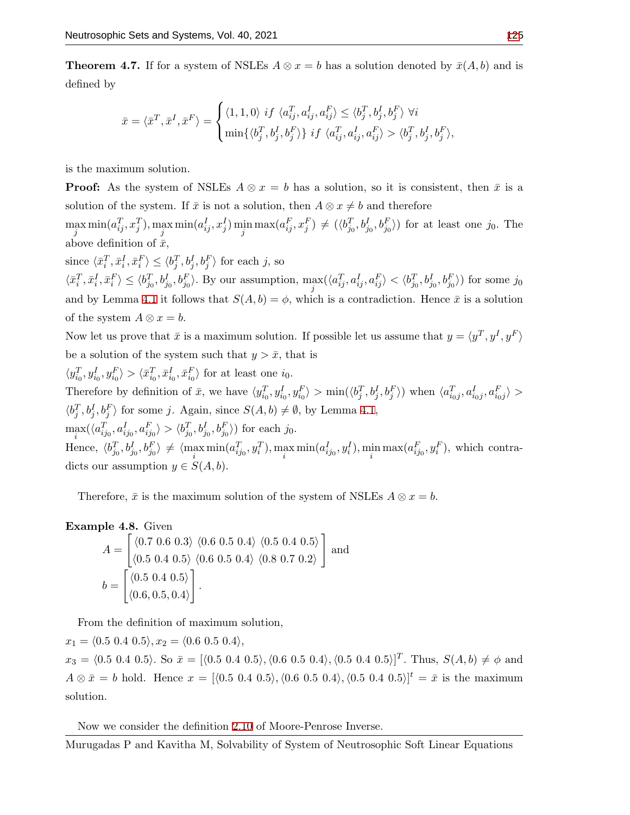**Theorem 4.7.** If for a system of NSLEs  $A \otimes x = b$  has a solution denoted by  $\bar{x}(A, b)$  and is defined by

$$
\bar{x} = \langle \bar{x}^T, \bar{x}^I, \bar{x}^F \rangle = \begin{cases} \langle 1, 1, 0 \rangle \ if \ \langle a_{ij}^T, a_{ij}^I, a_{ij}^F \rangle \le \langle b_j^T, b_j^I, b_j^F \rangle \ \forall i \\ \min \{ \langle b_j^T, b_j^I, b_j^F \rangle \} \ if \ \langle a_{ij}^T, a_{ij}^I, a_{ij}^F \rangle > \langle b_j^T, b_j^I, b_j^F \rangle, \end{cases}
$$

is the maximum solution.

**Proof:** As the system of NSLEs  $A \otimes x = b$  has a solution, so it is consistent, then  $\bar{x}$  is a solution of the system. If  $\bar{x}$  is not a solution, then  $A \otimes x \neq b$  and therefore

 $\max_{j} \min(a_{ij}^T, x_j^T), \max_{j} \min(a_{ij}^I, x_j^I) \min_{j} \max(a_{ij}^F, x_j^F) \neq (\langle b_{j_0}^T, b_{j_0}^I, b_{j_0}^F \rangle)$  for at least one  $j_0$ . The *j j* above definition of  $\bar{x}$ ,

since  $\langle \bar{x}_i^T, \bar{x}_i^I, \bar{x}_i^F \rangle \le \langle b_j^T, b_j^I, b_j^F \rangle$  for each j, so  $\langle \bar{x}_i^T, \bar{x}_i^I, \bar{x}_i^F \rangle \le \langle b_{j_0}^T, b_{j_0}^I, b_{j_0}^F \rangle$ . By our assumption,  $\max_j(\langle a_{ij}^T, a_{ij}^I, a_{ij}^F \rangle < \langle b_{j_0}^T, b_{j_0}^I, b_{j_0}^F \rangle)$  for some  $j_0$ and by Lemma [4.1](#page-6-0) it follows that  $S(A, b) = \phi$ , which is a contradiction. Hence  $\bar{x}$  is a solution of the system  $A \otimes x = b$ .

Now let us prove that  $\bar{x}$  is a maximum solution. If possible let us assume that  $y = \langle y^T, y^I, y^F \rangle$ be a solution of the system such that  $y > \bar{x}$ , that is

 $\langle y_{i_0}^T, y_{i_0}^I, y_{i_0}^F \rangle > \langle \bar{x}_{i_0}^T, \bar{x}_{i_0}^I, \bar{x}_{i_0}^F \rangle$  for at least one  $i_0$ . Therefore by definition of  $\bar{x}$ , we have  $\langle y_{i_0}^T, y_{i_0}^I, y_{i_0}^F \rangle > \min(\langle b_j^T, b_j^I, b_j^F \rangle)$  when  $\langle a_{i_0j}^T, a_{i_0j}^I, a_{i_0j}^F \rangle >$  $\langle b_j^T, b_j^I, b_j^F \rangle$  for some *j*. Again, since  $S(A, b) \neq \emptyset$ , by Lemma [4.1,](#page-6-0)  $\max_i(\langle a_{ij_0}^T, a_{ij_0}^I, a_{ij_0}^F \rangle > \langle b_{j_0}^T, b_{j_0}^I, b_{j_0}^F \rangle)$  for each  $j_0$ . *i* Hence,  $\langle b_{j_0}^T, b_{j_0}^I, b_{j_0}^F \rangle \neq \langle \max_i \min(a_{ij_0}^T, y_i^T), \max_i \min(a_{ij_0}^I, y_i^I), \min_i \max(a_{ij_0}^F, y_i^F),$  which contradicts our assumption  $y \in S(A, b)$ .

Therefore,  $\bar{x}$  is the maximum solution of the system of NSLEs  $A \otimes x = b$ .

Example 4.8. Given  
\n
$$
A = \begin{bmatrix} \langle 0.7 \ 0.6 \ 0.3 \rangle \ \langle 0.6 \ 0.5 \ 0.4 \rangle \ \langle 0.5 \ 0.4 \ 0.5 \rangle \end{bmatrix}
$$
 and  
\n
$$
b = \begin{bmatrix} \langle 0.5 \ 0.4 \ 0.5 \rangle \ \langle 0.6 \ 0.5 \ 0.4 \rangle \ \langle 0.8 \ 0.7 \ 0.2 \rangle \end{bmatrix}
$$

From the definition of maximum solution,

 $x_1 = \langle 0.5 \ 0.4 \ 0.5 \rangle, x_2 = \langle 0.6 \ 0.5 \ 0.4 \rangle,$  $x_3 = \langle 0.5 \ 0.4 \ 0.5 \rangle$ . So  $\bar{x} = [\langle 0.5 \ 0.4 \ 0.5 \rangle, \langle 0.6 \ 0.5 \ 0.4 \rangle, \langle 0.5 \ 0.4 \ 0.5 \rangle]^T$ . Thus,  $S(A, b) \neq \phi$  and  $A \otimes \bar{x} = b$  hold. Hence  $x = [\langle 0.5 \ 0.4 \ 0.5 \rangle, \langle 0.6 \ 0.5 \ 0.4 \rangle, \langle 0.5 \ 0.4 \ 0.5 \rangle]^t = \bar{x}$  is the maximum solution.

Now we consider the definition [2.10](#page-3-0) of Moore-Penrose Inverse.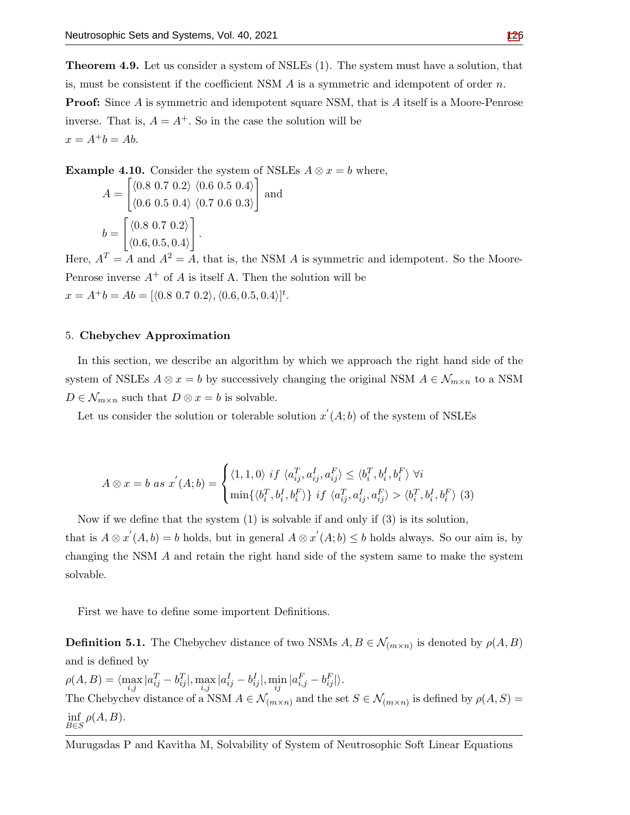**Theorem 4.9.** Let us consider a system of NSLEs (1). The system must have a solution, that is, must be consistent if the coefficient NSM *A* is a symmetric and idempotent of order *n.* **Proof:** Since *A* is symmetric and idempotent square NSM, that is *A* itself is a Moore-Penrose inverse. That is,  $A = A^+$ . So in the case the solution will be  $x = A^+b = Ab$ .

**Example 4.10.** Consider the system of NSLEs 
$$
A \otimes x = b
$$
 where,  
\n
$$
A = \begin{bmatrix} \langle 0.8 \ 0.7 \ 0.2 \rangle \ \langle 0.6 \ 0.5 \ 0.4 \rangle \end{bmatrix}
$$
 and  
\n
$$
b = \begin{bmatrix} \langle 0.8 \ 0.7 \ 0.2 \rangle \\ \langle 0.6 \ 0.5 \ 0.4 \rangle \end{bmatrix}.
$$

Here,  $A<sup>T</sup> = A$  and  $A<sup>2</sup> = A$ , that is, the NSM A is symmetric and idempotent. So the Moore-Penrose inverse  $A^+$  of  $A$  is itself A. Then the solution will be  $x = A^{+}b = Ab = [\langle 0.8 \, 0.7 \, 0.2 \rangle, \langle 0.6, 0.5, 0.4 \rangle]^t$ .

#### 5. **Chebychev Approximation**

In this section, we describe an algorithm by which we approach the right hand side of the system of NSLEs  $A \otimes x = b$  by successively changing the original NSM  $A \in \mathcal{N}_{m \times n}$  to a NSM  $D \in \mathcal{N}_{m \times n}$  such that  $D \otimes x = b$  is solvable.

Let us consider the solution or tolerable solution  $x'(A; b)$  of the system of NSLEs

$$
A \otimes x = b \text{ as } x^{'}(A;b) = \begin{cases} \langle 1,1,0 \rangle \text{ if } \langle a_{ij}^T, a_{ij}^I, a_{ij}^F \rangle \le \langle b_i^T, b_i^I, b_i^F \rangle \ \forall i \\ \min \{ \langle b_i^T, b_i^I, b_i^F \rangle \} \text{ if } \langle a_{ij}^T, a_{ij}^I, a_{ij}^F \rangle > \langle b_i^T, b_i^I, b_i^F \rangle \end{cases} (3)
$$

Now if we define that the system  $(1)$  is solvable if and only if  $(3)$  is its solution, that is  $A \otimes x'(A, b) = b$  holds, but in general  $A \otimes x'(A, b) \leq b$  holds always. So our aim is, by changing the NSM *A* and retain the right hand side of the system same to make the system solvable.

First we have to define some importent Definitions.

**Definition 5.1.** The Chebychev distance of two NSMs  $A, B \in \mathcal{N}_{(m \times n)}$  is denoted by  $\rho(A, B)$ and is defined by

 $\rho(A,B) = \langle \max_{i,j} | a_{ij}^T - b_{ij}^T | , \max_{i,j} | a_{ij}^I - b_{ij}^I | , \min_{ij} | a_{i,j}^F - b_{ij}^F | \rangle.$ The Chebychev distance of a NSM  $A \in \mathcal{N}_{(m \times n)}$  and the set  $S \in \mathcal{N}_{(m \times n)}$  is defined by  $\rho(A, S) =$ inf *B∈S ρ*(*A, B*)*.*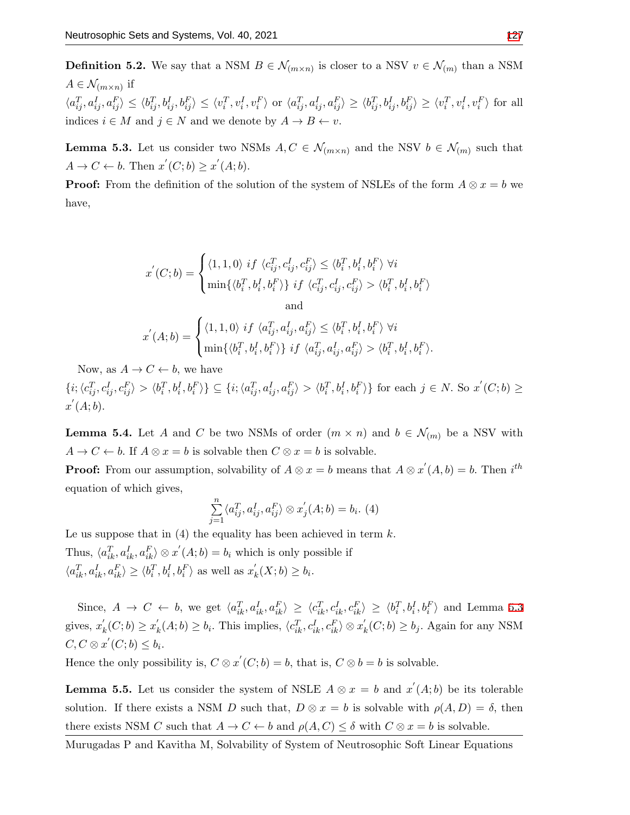indices  $i \in M$  and  $j \in N$  and we denote by  $A \to B \leftarrow v$ .

**Definition 5.2.** We say that a NSM  $B \in \mathcal{N}_{(m \times n)}$  is closer to a NSV  $v \in \mathcal{N}_{(m)}$  than a NSM  $A \in \mathcal{N}_{(m \times n)}$  if  $\langle a_{ij}^T, a_{ij}^I, a_{ij}^F \rangle \leq \langle b_{ij}^T, b_{ij}^I, b_{ij}^F \rangle \leq \langle v_i^T, v_i^I, v_i^F \rangle$  or  $\langle a_{ij}^T, a_{ij}^I, a_{ij}^F \rangle \geq \langle b_{ij}^T, b_{ij}^I, b_{ij}^F \rangle \geq \langle v_i^T, v_i^I, v_i^F \rangle$  for all

<span id="page-10-0"></span>**Lemma 5.3.** Let us consider two NSMs  $A, C \in \mathcal{N}_{(m \times n)}$  and the NSV  $b \in \mathcal{N}_{(m)}$  such that  $A \rightarrow C \leftarrow b$ . Then  $x'(C;b) \geq x'(A;b)$ .

**Proof:** From the definition of the solution of the system of NSLEs of the form  $A \otimes x = b$  we have,

$$
x^{'}(C;b) = \begin{cases} \langle 1,1,0 \rangle \ if \ \langle c_{ij}^T,c_{ij}^I,c_{ij}^F \rangle \leq \langle b_i^T,b_i^I,b_i^F \rangle \ \forall i \\ \min\{\langle b_i^T,b_i^I,b_i^F \rangle\} \ if \ \langle c_{ij}^T,c_{ij}^I,c_{ij}^F \rangle > \langle b_i^T,b_i^I,b_i^F \rangle \\ \text{and} \\ x^{'}(A;b) = \begin{cases} \langle 1,1,0 \rangle \ if \ \langle a_{ij}^T,a_{ij}^I,a_{ij}^F \rangle \leq \langle b_i^T,b_i^I,b_i^F \rangle \ \forall i \\ \min\{\langle b_i^T,b_i^I,b_i^F \rangle\} \ if \ \langle a_{ij}^T,a_{ij}^I,a_{ij}^F \rangle > \langle b_i^T,b_i^I,b_i^F \rangle. \end{cases}
$$

Now, as  $A \to C \leftarrow b$ , we have

 $\{i; \langle c_{ij}^T, c_{ij}^I, c_{ij}^F \rangle > \langle b_i^T, b_i^I, b_i^F \rangle\} \subseteq \{i; \langle a_{ij}^T, a_{ij}^I, a_{ij}^F \rangle > \langle b_i^T, b_i^I, b_i^F \rangle\}$  for each  $j \in N$ . So  $x'(C; b) \ge$ *x ′* (*A*; *b*)*.*

<span id="page-10-1"></span>**Lemma 5.4.** Let *A* and *C* be two NSMs of order  $(m \times n)$  and  $b \in \mathcal{N}_{(m)}$  be a NSV with  $A \rightarrow C \leftarrow b$ . If  $A \otimes x = b$  is solvable then  $C \otimes x = b$  is solvable.

**Proof:** From our assumption, solvability of  $A \otimes x = b$  means that  $A \otimes x'(A, b) = b$ . Then  $i^{th}$ equation of which gives,

$$
\sum_{j=1}^{n} \langle a_{ij}^T, a_{ij}^I, a_{ij}^F \rangle \otimes x_j'(A; b) = b_i.
$$
 (4)

Le us suppose that in  $(4)$  the equality has been achieved in term  $k$ . Thus,  $\langle a_{ik}^T, a_{ik}^I, a_{ik}^F \rangle \otimes x'(A;b) = b_i$  which is only possible if  $\langle a_{ik}^T, a_{ik}^I, a_{ik}^F \rangle \ge \langle b_i^T, b_i^I, b_i^F \rangle$  as well as  $x'_{k}(X; b) \ge b_i$ .

Since,  $A \rightarrow C \leftarrow b$ , we get  $\langle a_{ik}^T, a_{ik}^I, a_{ik}^F \rangle \geq \langle c_{ik}^T, c_{ik}^I, c_{ik}^F \rangle \geq \langle b_i^T, b_i^I, b_i^F \rangle$  and Lemma [5.3](#page-10-0) gives,  $x'_{k}(C;b) \geq x'_{k}(A;b) \geq b_{i}$ . This implies,  $\langle c_{ik}^{T}, c_{ik}^{I}, c_{ik}^{F} \rangle \otimes x'_{k}(C;b) \geq b_{j}$ . Again for any NSM  $C, C \otimes x^{'}$   $(C; b) \leq b_i$ .

Hence the only possibility is,  $C \otimes x'(C; b) = b$ , that is,  $C \otimes b = b$  is solvable.

**Lemma 5.5.** Let us consider the system of NSLE  $A \otimes x = b$  and  $x'(A;b)$  be its tolerable solution. If there exists a NSM *D* such that,  $D \otimes x = b$  is solvable with  $\rho(A, D) = \delta$ , then there exists NSM *C* such that  $A \to C \leftarrow b$  and  $\rho(A, C) \leq \delta$  with  $C \otimes x = b$  is solvable.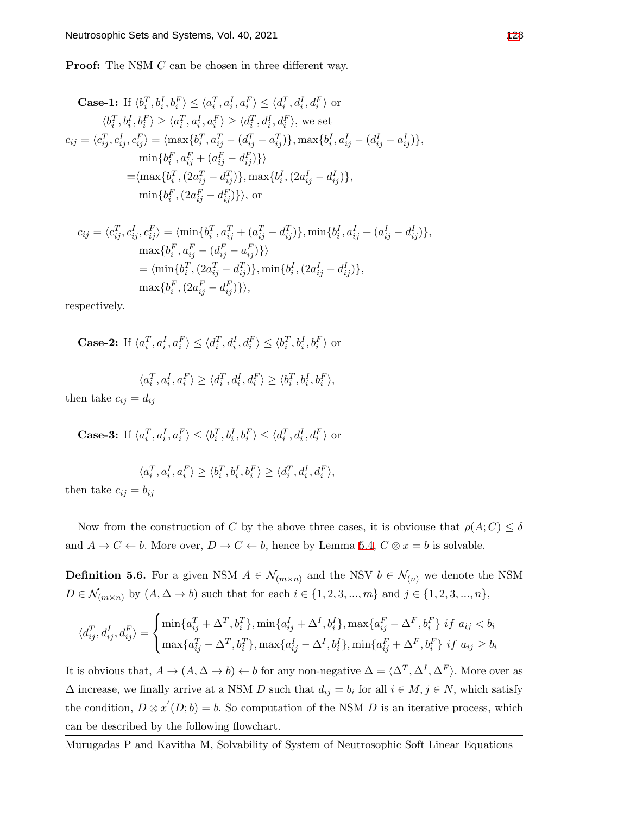**Proof:** The NSM *C* can be chosen in three different way.

Case-1: If 
$$
\langle b_i^T, b_i^I, b_i^F \rangle \le \langle a_i^T, a_i^I, a_i^F \rangle \le \langle d_i^T, d_i^I, d_i^F \rangle
$$
 or  
\n $\langle b_i^T, b_i^I, b_i^F \rangle \ge \langle a_i^T, a_i^I, a_i^F \rangle \ge \langle d_i^T, d_i^I, d_i^F \rangle$ , we set  
\n
$$
c_{ij} = \langle c_{ij}^T, c_{ij}^I, c_{ij}^F \rangle = \langle \max\{b_i^T, a_{ij}^T - (d_{ij}^T - a_{ij}^T)\}, \max\{b_i^I, a_{ij}^I - (d_{ij}^I - a_{ij}^I)\},
$$
\n
$$
\min\{b_i^F, a_{ij}^F + (a_{ij}^F - d_{ij}^F)\}\rangle
$$
\n
$$
= \langle \max\{b_i^T, (2a_{ij}^T - d_{ij}^T)\}, \max\{b_i^I, (2a_{ij}^I - d_{ij}^I)\},
$$
\n
$$
\min\{b_i^F, (2a_{ij}^F - d_{ij}^F)\}\rangle
$$
, or

$$
c_{ij} = \langle c_{ij}^T, c_{ij}^I, c_{ij}^F \rangle = \langle \min\{b_i^T, a_{ij}^T + (a_{ij}^T - d_{ij}^T)\}, \min\{b_i^I, a_{ij}^I + (a_{ij}^I - d_{ij}^I)\},
$$
  
\n
$$
\max\{b_i^F, a_{ij}^F - (d_{ij}^F - a_{ij}^F)\}\rangle
$$
  
\n
$$
= \langle \min\{b_i^T, (2a_{ij}^T - d_{ij}^T)\}, \min\{b_i^I, (2a_{ij}^I - d_{ij}^I)\},
$$
  
\n
$$
\max\{b_i^F, (2a_{ij}^F - d_{ij}^F)\}\rangle,
$$

respectively.

Case-2: If 
$$
\langle a_i^T, a_i^I, a_i^F \rangle \le \langle d_i^T, d_i^I, d_i^F \rangle \le \langle b_i^T, b_i^I, b_i^F \rangle
$$
 or

$$
\langle a_i^T, a_i^I, a_i^F \rangle \ge \langle d_i^T, d_i^I, d_i^F \rangle \ge \langle b_i^T, b_i^I, b_i^F \rangle,
$$

then take  $c_{ij} = d_{ij}$ 

**Case-3:** If  $\langle a_i^T, a_i^I, a_i^F \rangle \le \langle b_i^T, b_i^I, b_i^F \rangle \le \langle d_i^T, d_i^I, d_i^F \rangle$  or

$$
\langle a_i^T, a_i^I, a_i^F \rangle \ge \langle b_i^T, b_i^I, b_i^F \rangle \ge \langle d_i^T, d_i^I, d_i^F \rangle,
$$

then take  $c_{ij} = b_{ij}$ 

Now from the construction of *C* by the above three cases, it is obviouse that  $\rho(A; C) \leq \delta$ and  $A \to C \leftarrow b$ . More over,  $D \to C \leftarrow b$ , hence by Lemma [5.4,](#page-10-1)  $C \otimes x = b$  is solvable.

**Definition 5.6.** For a given NSM  $A \in \mathcal{N}_{(m \times n)}$  and the NSV  $b \in \mathcal{N}_{(n)}$  we denote the NSM  $D \in \mathcal{N}_{(m \times n)}$  by  $(A, \Delta \to b)$  such that for each  $i \in \{1, 2, 3, ..., m\}$  and  $j \in \{1, 2, 3, ..., n\},$ 

$$
\langle d_{ij}^T, d_{ij}^I, d_{ij}^F \rangle = \begin{cases} \min\{a_{ij}^T + \Delta^T, b_i^T\}, \min\{a_{ij}^I + \Delta^I, b_i^I\}, \max\{a_{ij}^F - \Delta^F, b_i^F\} \text{ if } a_{ij} < b_i \\ \max\{a_{ij}^T - \Delta^T, b_i^T\}, \max\{a_{ij}^I - \Delta^I, b_i^I\}, \min\{a_{ij}^F + \Delta^F, b_i^F\} \text{ if } a_{ij} \ge b_i \end{cases}
$$

It is obvious that,  $A \to (A, \Delta \to b) \leftarrow b$  for any non-negative  $\Delta = \langle \Delta^T, \Delta^I, \Delta^F \rangle$ . More over as  $\Delta$  increase, we finally arrive at a NSM *D* such that  $d_{ij} = b_i$  for all  $i \in M, j \in N$ , which satisfy the condition,  $D \otimes x'(D; b) = b$ . So computation of the NSM *D* is an iterative process, which can be described by the following flowchart.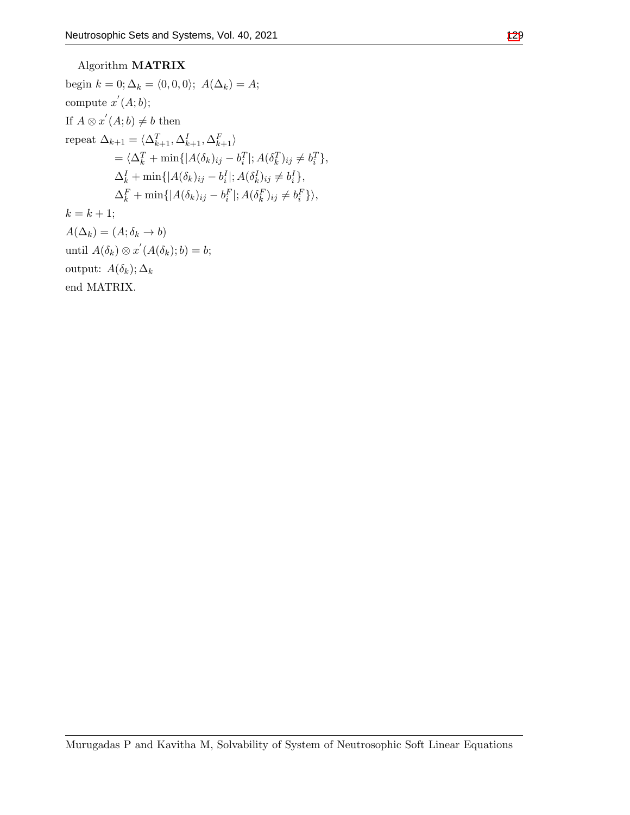## Algorithm **MATRIX** begin  $k = 0$ ;  $\Delta_k = \langle 0, 0, 0 \rangle$ ;  $A(\Delta_k) = A$ ; compute  $x'(A;b)$ ; If  $A \otimes x' (A;b) \neq b$  then  $\text{repeat } \Delta_{k+1} = \langle \Delta_{k+1}^T, \Delta_{k+1}^I, \Delta_{k+1}^F \rangle$ =  $\langle \Delta_k^T + \min\{|A(\delta_k)_{ij} - b_i^T|; A(\delta_k^T)_{ij} \neq b_i^T\},\$  $\Delta_k^I + \min\{|A(\delta_k)_{ij} - b_i^I|; A(\delta_k^I)_{ij} \neq b_i^I\},\$  $\Delta_k^F + \min\{|A(\delta_k)_{ij} - b_i^F|; A(\delta_k^F)_{ij} \neq b_i^F\}\rangle,$  $k = k + 1;$

 $A(\Delta_k) = (A; \delta_k \rightarrow b)$  $\text{until } A(\delta_k) \otimes x'(A(\delta_k); b) = b;$ output:  $A(\delta_k)$ ;  $\Delta_k$ end MATRIX.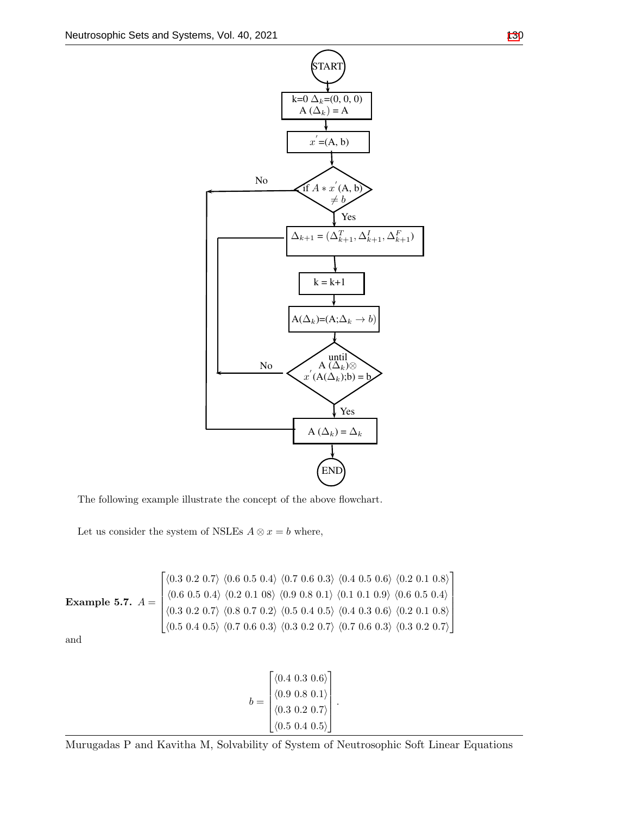

The following example illustrate the concept of the above flowchart.

Let us consider the system of NSLEs  $A \otimes x = b$  where,

Example 5.7.

\n
$$
A = \begin{bmatrix}\n\langle 0.3 \ 0.2 \ 0.7 \rangle \ \langle 0.6 \ 0.5 \ 0.4 \rangle \ \langle 0.7 \ 0.6 \ 0.3 \rangle \ \langle 0.4 \ 0.5 \ 0.6 \rangle \ \langle 0.2 \ 0.1 \ 0.8 \rangle \\
\langle 0.6 \ 0.5 \ 0.4 \rangle \ \langle 0.2 \ 0.1 \ 0.8 \rangle \ \langle 0.9 \ 0.8 \ 0.1 \rangle \ \langle 0.1 \ 0.1 \ 0.9 \rangle \ \langle 0.6 \ 0.5 \ 0.4 \rangle \\
\langle 0.3 \ 0.2 \ 0.7 \rangle \ \langle 0.8 \ 0.7 \ 0.2 \rangle \ \langle 0.5 \ 0.4 \ 0.5 \rangle \ \langle 0.3 \ 0.2 \ 0.7 \rangle \ \langle 0.7 \ 0.6 \ 0.3 \rangle \ \langle 0.7 \ 0.6 \ 0.3 \rangle \ \langle 0.7 \ 0.2 \ 0.7 \rangle\n\end{bmatrix}
$$

and

$$
b = \begin{bmatrix} \langle 0.4 \ 0.3 \ 0.6 \rangle \\ \langle 0.9 \ 0.8 \ 0.1 \rangle \\ \langle 0.3 \ 0.2 \ 0.7 \rangle \\ \langle 0.5 \ 0.4 \ 0.5 \rangle \end{bmatrix}.
$$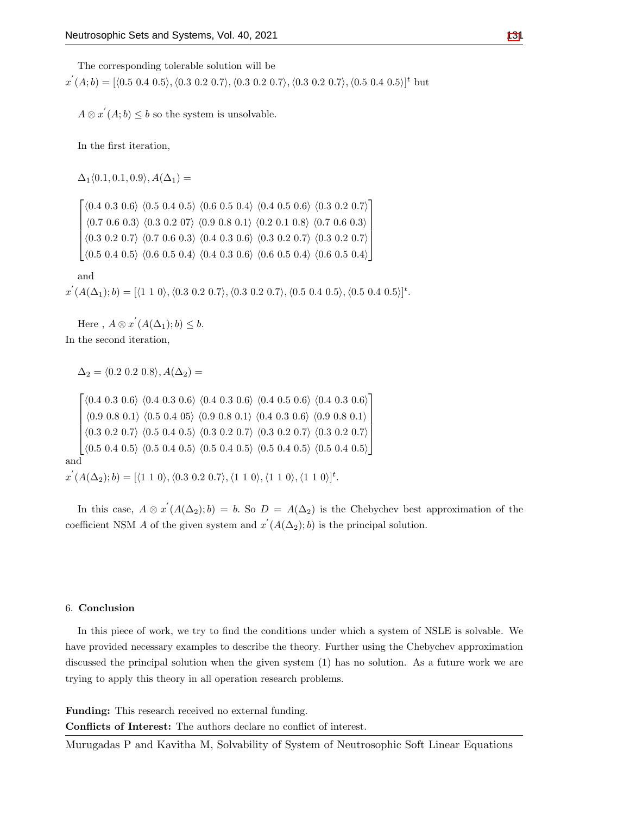The corresponding tolerable solution will be

 $x^{'}(A;b) = [\langle 0.5 \; 0.4 \; 0.5 \rangle, \langle 0.3 \; 0.2 \; 0.7 \rangle, \langle 0.3 \; 0.2 \; 0.7 \rangle, \langle 0.3 \; 0.2 \; 0.7 \rangle, \langle 0.5 \; 0.4 \; 0.5 \rangle]^t$  but

 $A \otimes x' (A; b) \leq b$  so the system is unsolvable.

In the first iteration,

 $\Delta_1 \langle 0.1, 0.1, 0.9 \rangle$ ,  $A(\Delta_1) =$ 

 *⟨*0*.*4 0*.*3 0*.*6*⟩ ⟨*0*.*5 0*.*4 0*.*5*⟩ ⟨*0*.*6 0*.*5 0*.*4*⟩ ⟨*0*.*4 0*.*5 0*.*6*⟩ ⟨*0*.*3 0*.*2 0*.*7*⟩ ⟨*0*.*7 0*.*6 0*.*3*⟩ ⟨*0*.*3 0*.*2 07*⟩ ⟨*0*.*9 0*.*8 0*.*1*⟩ ⟨*0*.*2 0*.*1 0*.*8*⟩ ⟨*0*.*7 0*.*6 0*.*3*⟩ ⟨*0*.*3 0*.*2 0*.*7*⟩ ⟨*0*.*7 0*.*6 0*.*3*⟩ ⟨*0*.*4 0*.*3 0*.*6*⟩ ⟨*0*.*3 0*.*2 0*.*7*⟩ ⟨*0*.*3 0*.*2 0*.*7*⟩ ⟨*0*.*5 0*.*4 0*.*5*⟩ ⟨*0*.*6 0*.*5 0*.*4*⟩ ⟨*0*.*4 0*.*3 0*.*6*⟩ ⟨*0*.*6 0*.*5 0*.*4*⟩ ⟨*0*.*6 0*.*5 0*.*4*⟩* 

and

 $x^{'}(A(\Delta_{1});b)=[\langle 1\ 1\ 0\rangle, \langle 0.3\ 0.2\ 0.7\rangle, \langle 0.3\ 0.2\ 0.7\rangle, \langle 0.5\ 0.4\ 0.5\rangle, \langle 0.5\ 0.4\ 0.5\rangle]^t.$ 

Here,  $A \otimes x' (A(\Delta_1); b) \leq b$ . In the second iteration,

 $\Delta_2 = \langle 0.2 \, 0.2 \, 0.8 \rangle$ ,  $A(\Delta_2) =$ 

 *⟨*0*.*4 0*.*3 0*.*6*⟩ ⟨*0*.*4 0*.*3 0*.*6*⟩ ⟨*0*.*4 0*.*3 0*.*6*⟩ ⟨*0*.*4 0*.*5 0*.*6*⟩ ⟨*0*.*4 0*.*3 0*.*6*⟩ ⟨*0*.*9 0*.*8 0*.*1*⟩ ⟨*0*.*5 0*.*4 05*⟩ ⟨*0*.*9 0*.*8 0*.*1*⟩ ⟨*0*.*4 0*.*3 0*.*6*⟩ ⟨*0*.*9 0*.*8 0*.*1*⟩ ⟨*0*.*3 0*.*2 0*.*7*⟩ ⟨*0*.*5 0*.*4 0*.*5*⟩ ⟨*0*.*3 0*.*2 0*.*7*⟩ ⟨*0*.*3 0*.*2 0*.*7*⟩ ⟨*0*.*3 0*.*2 0*.*7*⟩ ⟨*0*.*5 0*.*4 0*.*5*⟩ ⟨*0*.*5 0*.*4 0*.*5*⟩ ⟨*0*.*5 0*.*4 0*.*5*⟩ ⟨*0*.*5 0*.*4 0*.*5*⟩ ⟨*0*.*5 0*.*4 0*.*5*⟩* and

 $x^{'}(A(\Delta_{2});b)=[\langle1\;1\;0\rangle,\langle0.3\;0.2\;0.7\rangle,\langle1\;1\;0\rangle,\langle1\;1\;0\rangle,\langle1\;1\;0\rangle]^t.$ 

In this case,  $A \otimes x' (A(\Delta_2); b) = b$ . So  $D = A(\Delta_2)$  is the Chebychev best approximation of the coefficient NSM *A* of the given system and  $x'(A(\Delta_2); b)$  is the principal solution.

#### 6. **Conclusion**

In this piece of work, we try to find the conditions under which a system of NSLE is solvable. We have provided necessary examples to describe the theory. Further using the Chebychev approximation discussed the principal solution when the given system (1) has no solution. As a future work we are trying to apply this theory in all operation research problems.

**Funding:** This research received no external funding.

**Conflicts of Interest:** The authors declare no conflict of interest.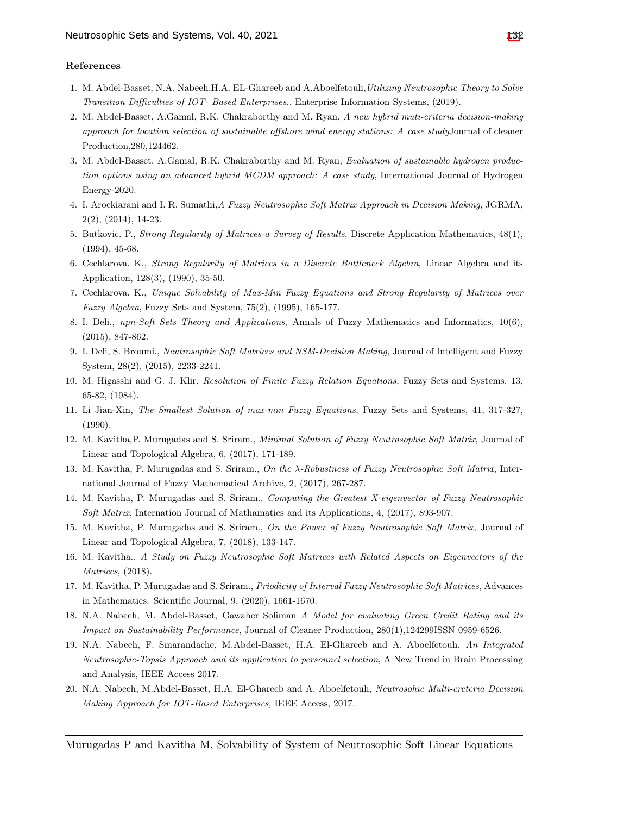#### **References**

- <span id="page-15-6"></span>1. M. Abdel-Basset, N.A. Nabeeh,H.A. EL-Ghareeb and A.Aboelfetouh,*Utilizing Neutrosophic Theory to Solve Transition Difficulties of IOT- Based Enterprises.*. Enterprise Information Systems, (2019).
- 2. M. Abdel-Basset, A.Gamal, R.K. Chakraborthy and M. Ryan, *A new hybrid muti-criteria decision-making approach for location selection of sustainable offshore wind energy stations: A case study*Journal of cleaner Production,280,124462.
- <span id="page-15-7"></span>3. M. Abdel-Basset, A.Gamal, R.K. Chakraborthy and M. Ryan, *Evaluation of sustainable hydrogen production options using an advanced hybrid MCDM approach: A case study*, International Journal of Hydrogen Energy-2020.
- <span id="page-15-11"></span>4. I. Arockiarani and I. R. Sumathi,*A Fuzzy Neutrosophic Soft Matrix Approach in Decision Making*, JGRMA, 2(2), (2014), 14-23.
- <span id="page-15-1"></span>5. Butkovic. P., *Strong Regularity of Matrices-a Survey of Results*, Discrete Application Mathematics, 48(1), (1994), 45-68.
- <span id="page-15-2"></span>6. Cechlarova. K., *Strong Regularity of Matrices in a Discrete Bottleneck Algebra*, Linear Algebra and its Application, 128(3), (1990), 35-50.
- <span id="page-15-3"></span>7. Cechlarova. K., *Unique Solvability of Max-Min Fuzzy Equations and Strong Regularity of Matrices over Fuzzy Algebra*, Fuzzy Sets and System, 75(2), (1995), 165-177.
- <span id="page-15-4"></span>8. I. Deli., *npn-Soft Sets Theory and Applications*, Annals of Fuzzy Mathematics and Informatics, 10(6), (2015), 847-862.
- <span id="page-15-5"></span>9. I. Deli, S. Broumi., *Neutrosophic Soft Matrices and NSM-Decision Making*, Journal of Intelligent and Fuzzy System, 28(2), (2015), 2233-2241.
- <span id="page-15-0"></span>10. M. Higasshi and G. J. Klir, *Resolution of Finite Fuzzy Relation Equations,* Fuzzy Sets and Systems, 13, 65-82, (1984).
- 11. Li Jian-Xin, *The Smallest Solution of max-min Fuzzy Equations*, Fuzzy Sets and Systems, 41, 317-327, (1990).
- <span id="page-15-10"></span>12. M. Kavitha,P. Murugadas and S. Sriram., *Minimal Solution of Fuzzy Neutrosophic Soft Matrix*, Journal of Linear and Topological Algebra, 6, (2017), 171-189.
- <span id="page-15-12"></span>13. M. Kavitha, P. Murugadas and S. Sriram., *On the λ-Robustness of Fuzzy Neutrosophic Soft Matrix*, International Journal of Fuzzy Mathematical Archive, 2, (2017), 267-287.
- 14. M. Kavitha, P. Murugadas and S. Sriram., *Computing the Greatest X-eigenvector of Fuzzy Neutrosophic Soft Matrix*, Internation Journal of Mathamatics and its Applications, 4, (2017), 893-907.
- <span id="page-15-13"></span>15. M. Kavitha, P. Murugadas and S. Sriram., *On the Power of Fuzzy Neutrosophic Soft Matrix*, Journal of Linear and Topological Algebra, 7, (2018), 133-147.
- <span id="page-15-15"></span>16. M. Kavitha., *A Study on Fuzzy Neutrosophic Soft Matrices with Related Aspects on Eigenvectors of the Matrices*, (2018).
- <span id="page-15-14"></span>17. M. Kavitha, P. Murugadas and S. Sriram., *Priodicity of Interval Fuzzy Neutrosophic Soft Matrices*, Advances in Mathematics: Scientific Journal, 9, (2020), 1661-1670.
- <span id="page-15-8"></span>18. N.A. Nabeeh, M. Abdel-Basset, Gawaher Soliman *A Model for evaluating Green Credit Rating and its Impact on Sustainability Performance*, Journal of Cleaner Production, 280(1),124299ISSN 0959-6526.
- 19. N.A. Nabeeh, F. Smarandache, M.Abdel-Basset, H.A. El-Ghareeb and A. Aboelfetouh, *An Integrated Neutrosophic-Topsis Approach and its application to personnel selection*, A New Trend in Brain Processing and Analysis, IEEE Access 2017.
- <span id="page-15-9"></span>20. N.A. Nabeeh, M.Abdel-Basset, H.A. El-Ghareeb and A. Aboelfetouh, *Neutrosohic Multi-creteria Decision Making Approach for IOT-Based Enterprises,* IEEE Access, 2017.